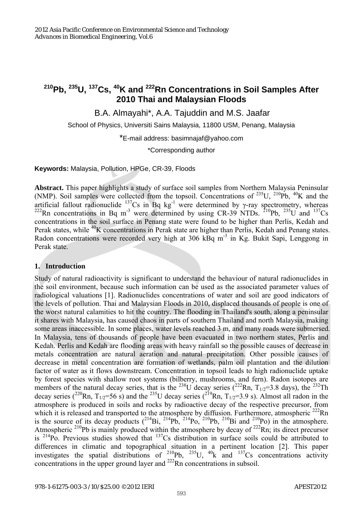# **210Pb, 235U, 137Cs, 40K and 222Rn Concentrations in Soil Samples After 2010 Thai and Malaysian Floods**

B.A. Almayahi\*, A.A. Tajuddin and M.S. Jaafar

School of Physics, Universiti Sains Malaysia, 11800 USM, Penang, Malaysia

\*E-mail address: basimnajaf@yahoo.com

\*Corresponding author

**Keywords:** Malaysia, Pollution, HPGe, CR-39, Floods

**Abstract.** This paper highlights a study of surface soil samples from Northern Malaysia Peninsular (NMP). Soil samples were collected from the topsoil. Concentrations of  $^{235}$ U,  $^{210}$ Pb,  $^{40}$ K and the artificial fallout radionuclide  $^{137}Cs$  in Bq kg<sup>-1</sup> were determined by  $\gamma$ -ray spectrometry, whereas <sup>222</sup>Rn concentrations in Bq m<sup>-3</sup> were determined by using CR-39 NTDs. <sup>210</sup>Pb, <sup>235</sup>U and <sup>137</sup>Cs concentrations in the soil surface in Penang state were found to be higher than Perlis, Kedah and Perak states, while <sup>40</sup>K concentrations in Perak state are higher than Perlis, Kedah and Penang states. Radon concentrations were recorded very high at  $306 \text{ kBq m}^3$  in Kg. Bukit Sapi, Lenggong in Perak state.

# **1. Introduction**

Study of natural radioactivity is significant to understand the behaviour of natural radionuclides in the soil environment, because such information can be used as the associated parameter values of radiological valuations [1]. Radionuclides concentrations of water and soil are good indicators of the levels of pollution. Thai and Malaysian Floods in 2010, displaced thousands of people is one of the worst natural calamities to hit the country. The flooding in Thailand's south, along a peninsular it shares with Malaysia, has caused chaos in parts of southern Thailand and north Malaysia, making some areas inaccessible. In some places, water levels reached 3 m, and many roads were submersed. In Malaysia, tens of thousands of people have been evacuated in two northern states, Perlis and Kedah. Perlis and Kedah are flooding areas with heavy rainfall so the possible causes of decrease in metals concentration are natural aeration and natural precipitation. Other possible causes of decrease in metal concentration are formation of wetlands, palm oil plantation and the dilution factor of water as it flows downstream. Concentration in topsoil leads to high radionuclide uptake by forest species with shallow root systems (bilberry, mushrooms, and fern). Radon isotopes are members of the natural decay series, that is the <sup>238</sup>U decay series ( $^{222}$ Rn, T<sub>1/2</sub>=3.8 days), the <sup>232</sup>Th decay series (<sup>220</sup>Rn, T<sub>1/2</sub>=56 s) and the <sup>235</sup>U decay series (<sup>219</sup>Rn, T<sub>1/2</sub>=3.9 s). Almost all radon in the atmosphere is produced in soils and rocks by radioactive decay of the respective precursor, from which it is released and transported to the atmosphere by diffusion. Furthermore, atmospheric  $^{222}$ Rn is the source of its decay products  $({}^{214}Bi, {}^{214}Pb, {}^{214}Po, {}^{210}Pb, {}^{210}Bi$  and  ${}^{210}Po$ ) in the atmosphere. Atmospheric  $^{210}Pb$  is mainly produced within the atmosphere by decay of  $^{222}Rn$ ; its direct precursor is  $214\text{Po}$ . Previous studies showed that  $137\text{Cs}$  distribution in surface soils could be attributed to differences in climatic and topographical situation in a pertinent location [2]. This paper investigates the spatial distributions of  $^{210}Pb$ ,  $^{235}U$ ,  $^{40}k$  and  $^{137}Cs$  concentrations activity concentrations in the upper ground layer and <sup>222</sup>Rn concentrations in subsoil.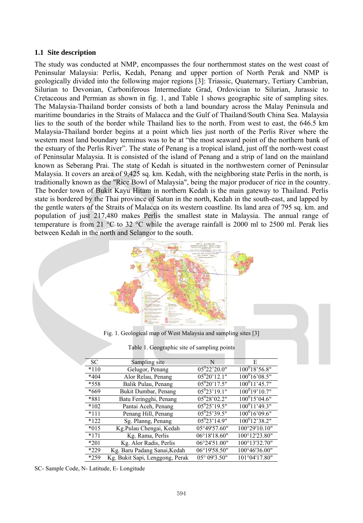#### **1.1 Site description**

The study was conducted at NMP, encompasses the four northernmost states on the west coast of Peninsular Malaysia: Perlis, Kedah, Penang and upper portion of North Perak and NMP is geologically divided into the following major regions [3]: Triassic, Quaternary, Tertiary Cambrian, Silurian to Devonian, Carboniferous Intermediate Grad, Ordovician to Silurian, Jurassic to Cretaceous and Permian as shown in fig. 1, and Table 1 shows geographic site of sampling sites. The Malaysia-Thailand border consists of both a land boundary across the Malay Peninsula and maritime boundaries in the Straits of Malacca and the Gulf of Thailand/South China Sea. Malaysia lies to the south of the border while Thailand lies to the north. From west to east, the 646.5 km Malaysia-Thailand border begins at a point which lies just north of the Perlis River where the western most land boundary terminus was to be at "the most seaward point of the northern bank of the estuary of the Perlis River". The state of Penang is a tropical island, just off the north-west coast of Peninsular Malaysia. It is consisted of the island of Penang and a strip of land on the mainland known as Seberang Prai. The state of Kedah is situated in the northwestern corner of Peninsular Malaysia. It covers an area of 9,425 sq. km. Kedah, with the neighboring state Perlis in the north, is traditionally known as the "Rice Bowl of Malaysia", being the major producer of rice in the country. The border town of Bukit Kayu Hitam in northern Kedah is the main gateway to Thailand. Perlis state is bordered by the Thai province of Satun in the north, Kedah in the south-east, and lapped by the gentle waters of the Straits of Malacca on its western coastline. Its land area of 795 sq. km. and population of just 217,480 makes Perlis the smallest state in Malaysia. The annual range of temperature is from 21  $^{\circ}$ C to 32  $^{\circ}$ C while the average rainfall is 2000 ml to 2500 ml. Perak lies between Kedah in the north and Selangor to the south.



Fig. 1. Geological map of West Malaysia and sampling sites [3]

|  |  | Table 1. Geographic site of sampling points |
|--|--|---------------------------------------------|
|  |  |                                             |

| <b>SC</b> | Sampling site                   | N                | E                |
|-----------|---------------------------------|------------------|------------------|
| $*110$    | Gelugor, Penang                 | $05^{0}22'20.0"$ | $100^018'56.8"$  |
| $*404$    | Alor Relau, Penang              | $05^{0}20'12.1"$ | $100^016'08.5"$  |
| *558      | Balik Pulau, Penang             | $05^{0}20'17.5"$ | $100^011'45.7"$  |
| *669      | Bukit Dumbar, Penang            | $05^{0}23'19.1"$ | $100^019'10.7"$  |
| *881      | Batu Feringghi, Penang          | $05^{0}28'02.2"$ | $100^015'04.6"$  |
| $*102$    | Pantai Aceh, Penang             | $05^{0}25'19.5"$ | $100^011'$ 49.3" |
| $*111$    | Penang Hill, Penang             | $05^{0}25'39.5"$ | $100^016'09.6"$  |
| $*122$    | Sg. Planng, Penang              | $05^{0}23'14.9"$ | $100^012'38.2"$  |
| $*015$    | Kg.Pulau Chengai, Kedah         | 05°49'57.60"     | 100°29'10.10"    |
| $*171$    | Kg. Rama, Perlis                | 06°18'18.60"     | 100°12'23.80"    |
| *201      | Kg. Alor Radis, Perlis          | 06°24'51.00"     | 100°13'32.70"    |
| $*229$    | Kg. Baru Padang Sanai, Kedah    | 06°19'58.50"     | 100°46'36.00"    |
| *259      | Kg. Bukit Sapi, Lenggong, Perak | 05° 09'3.50"     | 101°04'17.80"    |

SC- Sample Code, N- Latitude, E- Longitude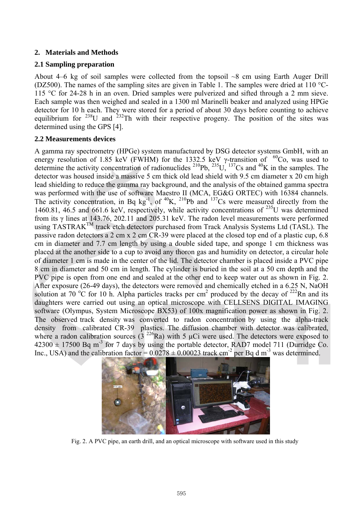# **2. Materials and Methods**

# **2.1 Sampling preparation**

About 4–6 kg of soil samples were collected from the topsoil ~8 cm using Earth Auger Drill (DZ500). The names of the sampling sites are given in Table 1. The samples were dried at 110  $^{\circ}$ C-115 °C for 24-28 h in an oven. Dried samples were pulverized and sifted through a 2 mm sieve. Each sample was then weighed and sealed in a 1300 ml Marinelli beaker and analyzed using HPGe detector for 10 h each. They were stored for a period of about 30 days before counting to achieve equilibrium for  $^{238}$ U and  $^{232}$ Th with their respective progeny. The position of the sites was determined using the GPS [4].

## **2.2 Measurements devices**

A gamma ray spectrometry (HPGe) system manufactured by DSG detector systems GmbH, with an energy resolution of 1.85 keV (FWHM) for the 1332.5 keV  $\gamma$ -transition of <sup>60</sup>Co, was used to determine the activity concentration of radionuclides  $^{210}Pb$ ,  $^{235}U$ ,  $^{137}Cs$  and  $^{40}K$  in the samples. The detector was housed inside a massive 5 cm thick old lead shield with 9.5 cm diameter x 20 cm high lead shielding to reduce the gamma ray background, and the analysis of the obtained gamma spectra was performed with the use of software Maestro II (MCA, EG&G ORTEC) with 16384 channels. The activity concentration, in Bq kg<sup>-1</sup>, of <sup>40</sup>K, <sup>210</sup>Pb and <sup>137</sup>Cs were measured directly from the 1460.81, 46.5 and 661.6 keV, respectively, while activity concentrations of 235U was determined from its γ lines at 143.76, 202.11 and 205.31 keV. The radon level measurements were performed using TASTRAK<sup>TM</sup> track etch detectors purchased from Track Analysis Systems Ltd (TASL). The passive radon detectors a 2 cm x 2 cm CR-39 were placed at the closed top end of a plastic cup, 6.8 cm in diameter and 7.7 cm length by using a double sided tape, and sponge 1 cm thickness was placed at the another side to a cup to avoid any thoron gas and humidity on detector, a circular hole of diameter 1 cm is made in the center of the lid. The detector chamber is placed inside a PVC pipe 8 cm in diameter and 50 cm in length. The cylinder is buried in the soil at a 50 cm depth and the PVC pipe is open from one end and sealed at the other end to keep water out as shown in Fig. 2. After exposure (26-49 days), the detectors were removed and chemically etched in a 6.25 N, NaOH solution at 70 °C for 10 h. Alpha particles tracks per cm<sup>2</sup> produced by the decay of <sup>222</sup>Rn and its daughters were carried out using an optical microscope with CELLSENS DIGITAL IMAGING software (Olympus, System Microscope BX53) of 100x magnification power as shown in Fig. 2. The observed track density was converted to radon concentration by using the alpha-track density from calibrated CR-39 plastics. The diffusion chamber with detector was calibrated, where a radon calibration sources  $(3^{226}Ra)$  with 5 µCi were used. The detectors were exposed to  $42300 \pm 17500$  Bq m<sup>-3</sup> for 7 days by using the portable detector, RAD7 model 711 (Durridge Co. Inc., USA) and the calibration factor =  $0.0278 \pm 0.00023$  track cm<sup>-2</sup> per Bq d m<sup>-3</sup> was determined.



Fig. 2. A PVC pipe, an earth drill, and an optical microscope with software used in this study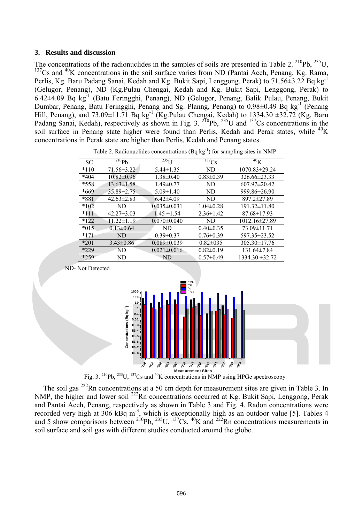#### **3. Results and discussion**

ND- Not Detected

The concentrations of the radionuclides in the samples of soils are presented in Table 2. <sup>210</sup>Pb, <sup>235</sup>U, <sup>137</sup>Cs and <sup>40</sup>K concentrations in the soil surface varies from ND (Pantai Aceh, Penang, Kg. Rama, Perlis, Kg. Baru Padang Sanai, Kedah and Kg. Bukit Sapi, Lenggong, Perak) to 71.56±3.22 Bq kg-1 (Gelugor, Penang), ND (Kg.Pulau Chengai, Kedah and Kg. Bukit Sapi, Lenggong, Perak) to 6.42±4.09 Bq kg-1 (Batu Feringghi, Penang), ND (Gelugor, Penang, Balik Pulau, Penang, Bukit Dumbar, Penang, Batu Feringghi, Penang and Sg. Planng, Penang) to  $0.98\pm0.49$  Bq kg<sup>-1</sup> (Penang Hill, Penang), and 73.09±11.71 Bq kg<sup>-1</sup> (Kg.Pulau Chengai, Kedah) to 1334.30 ±32.72 (Kg. Baru Padang Sanai, Kedah), respectively as shown in Fig. 3.  $^{210}Pb$ ,  $^{235}U$  and  $^{137}Cs$  concentrations in the soil surface in Penang state higher were found than Perlis, Kedah and Perak states, while  ${}^{40}$ K concentrations in Perak state are higher than Perlis, Kedah and Penang states.

| SC     | $^{210}Pb$       | $^{235}$ U        | $^{137}Cs$      | 40 <sub>K</sub>     |
|--------|------------------|-------------------|-----------------|---------------------|
| $*110$ | 71.56 ± 3.22     | $5.44 \pm 1.35$   | ND              | $1070.83 \pm 29.24$ |
| $*404$ | $10.82 \pm 0.96$ | $1.38 \pm 0.40$   | $0.83 \pm 0.39$ | 326.66±23.33        |
| *558   | $13.63 \pm 1.58$ | $1.49 \pm 0.77$   | ND              | $607.97 \pm 20.42$  |
| *669   | 35.89±2.75       | $5.09 \pm 1.40$   | ND              | 999.86±26.90        |
| *881   | $42.63 \pm 2.83$ | $6.42{\pm}4.09$   | ND              | 897.2±27.89         |
| $*102$ | ND               | $0.035 \pm 0.031$ | $1.04 \pm 0.28$ | 191.32±11.80        |
| $*111$ | $42.27 \pm 3.03$ | $1.45 \pm 1.54$   | $2.36 \pm 1.42$ | $87.68 \pm 17.93$   |
| $*122$ | $11.22 \pm 1.19$ | $0.070 \pm 0.040$ | ND.             | $1012.16 \pm 27.89$ |
| $*015$ | $0.13 \pm 0.64$  | ND                | $0.40 \pm 0.35$ | 73.09±11.71         |
| $*171$ | ND               | $0.39 \pm 0.37$   | $0.76 \pm 0.39$ | 597.35±23.52        |
| $*201$ | $3.43\pm0.86$    | $0.089 \pm 0.039$ | $0.82 \pm 0.35$ | $305.30 \pm 17.76$  |
| $*229$ | <b>ND</b>        | $0.021 \pm 0.016$ | $0.82 \pm 0.19$ | $131.64 \pm 7.84$   |
| *259   | ND               | ND                | $0.57 \pm 0.49$ | $1334.30 \pm 32.72$ |

Table 2. Radionuclides concentrations (Bq  $kg^{-1}$ ) for sampling sites in NMP



Fig. 3. 210Pb, 235U, 137Cs and 40K concentrations in NMP using HPGe spectroscopy

The soil gas  $^{222}$ Rn concentrations at a 50 cm depth for measurement sites are given in Table 3. In NMP, the higher and lower soil <sup>222</sup>Rn concentrations occurred at Kg. Bukit Sapi, Lenggong, Perak and Pantai Aceh, Penang, respectively as shown in Table 3 and Fig. 4. Radon concentrations were recorded very high at 306 kBq m<sup>-3</sup>, which is exceptionally high as an outdoor value [5]. Tables 4 and 5 show comparisons between <sup>210</sup>Pb, <sup>235</sup>U, <sup>137</sup>Cs, <sup>40</sup>K and <sup>222</sup>Rn concentrations measurements in soil surface and soil gas with different studies conducted around the globe.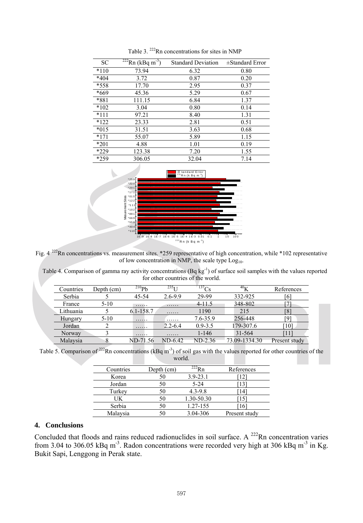| SC     | $^{222}$ Rn (kBq m <sup>-3</sup> ) | <b>Standard Deviation</b> | $\pm$ Standard Error |
|--------|------------------------------------|---------------------------|----------------------|
| $*110$ | 73.94                              | 6.32                      | 0.80                 |
| $*404$ | 3.72                               | 0.87                      | 0.20                 |
| *558   | 17.70                              | 2.95                      | 0.37                 |
| *669   | 45.36                              | 5.29                      | 0.67                 |
| *881   | 111.15                             | 6.84                      | 1.37                 |
| $*102$ | 3.04                               | 0.80                      | 0.14                 |
| $*111$ | 97.21                              | 8.40                      | 1.31                 |
| $*122$ | 23.33                              | 2.81                      | 0.51                 |
| $*015$ | 31.51                              | 3.63                      | 0.68                 |
| $*171$ | 55.07                              | 5.89                      | 1.15                 |
| $*201$ | 4.88                               | 1.01                      | 0.19                 |
| *229   | 123.38                             | 7.20                      | 1.55                 |
| *259   | 306.05                             | 32.04                     | 7.14                 |

Table 3. <sup>222</sup>Rn concentrations for sites in NMP



Fig.  $4^{222}$ Rn concentrations vs. measurement sites. \*259 representative of high concentration, while \*102 representative of low concentration in NMP, the scale type  $Log<sub>10</sub>$ .

Table 4. Comparison of gamma ray activity concentrations (Bq kg<sup>-1</sup>) of surface soil samples with the values reported for other countries of the world.

| Countries | Depth (cm) | $^{210}Pb$ | 235 <sub>T</sub> | $T_{37}$ Cs | 40V           | References      |
|-----------|------------|------------|------------------|-------------|---------------|-----------------|
| Serbia    |            | 45-54      | $2.6 - 9.9$      | 29-99       | 332-925       | 16              |
| France    | $5 - 10$   | .          | .                | $4 - 11.5$  | 348-802       |                 |
| Lithuania |            | 6.1-158.7  | .                | 1190        | 215           | Ιŏ              |
| Hungary   | $5 - 10$   | .          | .                | 7.6-35.9    | 256-448       | ٢Q.             |
| Jordan    |            | .          | $2.2 - 6.4$      | $0.9 - 3.5$ | 179-307.6     | 10 <sup>1</sup> |
| Norway    |            | .          | .                | $1 - 146$   | 31-564        |                 |
| Malaysia  |            | ND-71.56   | ND-6.42          | ND-2.36     | 73.09-1334.30 | Present study   |

Table 5. Comparison of <sup>222</sup>Rn concentrations (kBq m<sup>-3</sup>) of soil gas with the values reported for other countries of the world.

| Countries | Depth (cm) | $222$ Rn     | References    |
|-----------|------------|--------------|---------------|
| Korea     |            | $3.9 - 23.1$ |               |
| Jordan    |            | $5 - 24$     |               |
| Turkey    |            | $4.3 - 9.8$  | 14            |
| UK        |            | 1.30-50.30   | 15            |
| Serbia    |            | 1.27-155     | 16            |
| Malaysia  |            | 3.04-306     | Present study |

### **4. Conclusions**

Concluded that floods and rains reduced radionuclides in soil surface. A  $^{222}$ Rn concentration varies from 3.04 to 306.05 kBq m<sup>-3</sup>. Radon concentrations were recorded very high at 306 kBq m<sup>-3</sup> in Kg. Bukit Sapi, Lenggong in Perak state.